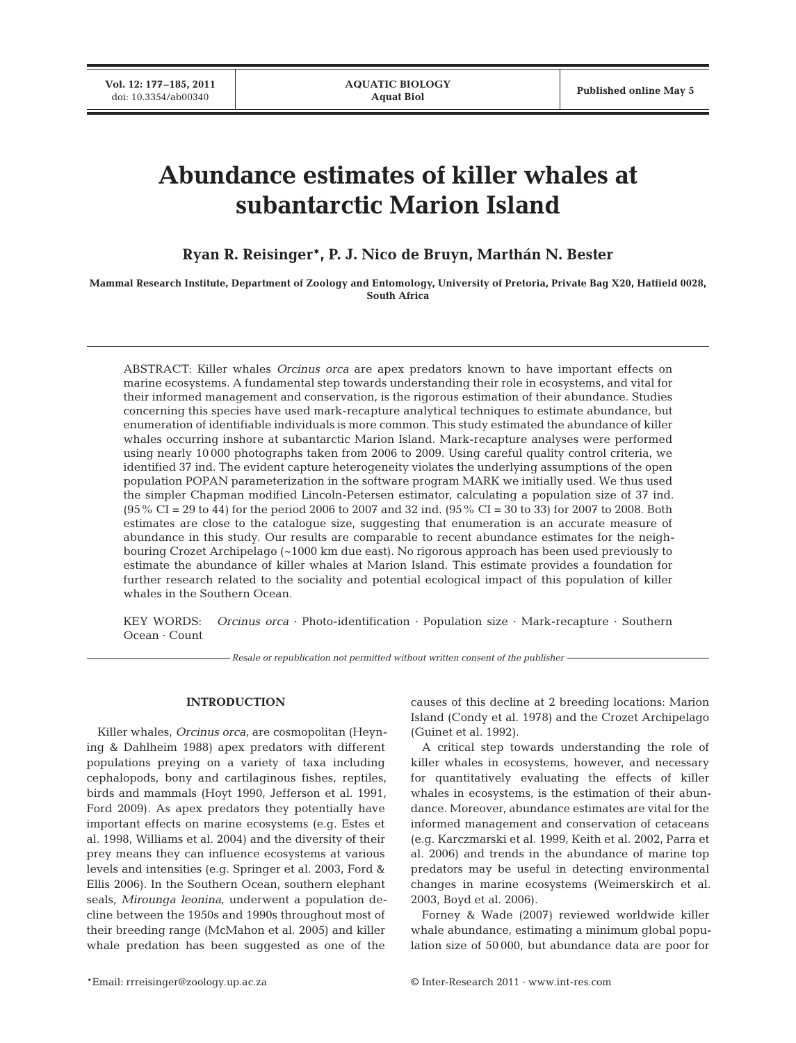# **Abundance estimates of killer whales at subantarctic Marion Island**

**Ryan R. Reisinger\*, P. J. Nico de Bruyn, Marthán N. Bester**

**Mammal Research Institute, Department of Zoology and Entomology, University of Pretoria, Private Bag X20, Hatfield 0028, South Africa**

ABSTRACT: Killer whales *Orcinus orca* are apex predators known to have important effects on marine ecosystems. A fundamental step towards understanding their role in ecosystems, and vital for their informed management and conservation, is the rigorous estimation of their abundance. Studies concerning this species have used mark-recapture analytical techniques to estimate abundance, but enumeration of identifiable individuals is more common. This study estimated the abundance of killer whales occurring inshore at subantarctic Marion Island. Mark-recapture analyses were performed using nearly 10 000 photographs taken from 2006 to 2009. Using careful quality control criteria, we identified 37 ind. The evident capture heterogeneity violates the underlying assumptions of the open population POPAN parameterization in the software program MARK we initially used. We thus used the simpler Chapman modified Lincoln-Petersen estimator, calculating a population size of 37 ind. (95% CI = 29 to 44) for the period 2006 to 2007 and 32 ind. (95% CI = 30 to 33) for 2007 to 2008. Both estimates are close to the catalogue size, suggesting that enumeration is an accurate measure of abundance in this study. Our results are comparable to recent abundance estimates for the neighbouring Crozet Archipelago (~1000 km due east). No rigorous approach has been used previously to estimate the abundance of killer whales at Marion Island. This estimate provides a foundation for further research related to the sociality and potential ecological impact of this population of killer whales in the Southern Ocean.

KEY WORDS: *Orcinus orca* · Photo-identification · Population size · Mark-recapture · Southern Ocean · Count

*Resale or republication not permitted without written consent of the publisher*

## **INTRODUCTION**

Killer whales, *Orcinus orca*, are cosmopolitan (Heyning & Dahlheim 1988) apex predators with different populations preying on a variety of taxa including cephalopods, bony and cartilaginous fishes, reptiles, birds and mammals (Hoyt 1990, Jefferson et al. 1991, Ford 2009). As apex predators they potentially have important effects on marine ecosystems (e.g. Estes et al. 1998, Williams et al. 2004) and the diversity of their prey means they can influence ecosystems at various levels and intensities (e.g. Springer et al. 2003, Ford & Ellis 2006). In the Southern Ocean, southern elephant seals, *Mirounga leonina*, underwent a population decline between the 1950s and 1990s throughout most of their breeding range (McMahon et al. 2005) and killer whale predation has been suggested as one of the causes of this decline at 2 breeding locations: Marion Island (Condy et al. 1978) and the Crozet Archipelago (Guinet et al. 1992).

A critical step towards understanding the role of killer whales in ecosystems, however, and necessary for quantitatively evaluating the effects of killer whales in ecosystems, is the estimation of their abundance. Moreover, abundance estimates are vital for the informed management and conservation of cetaceans (e.g. Karczmarski et al. 1999, Keith et al. 2002, Parra et al. 2006) and trends in the abundance of marine top predators may be useful in detecting environmental changes in marine ecosystems (Weimerskirch et al. 2003, Boyd et al. 2006).

Forney & Wade (2007) reviewed worldwide killer whale abundance, estimating a minimum global population size of 50 000, but abundance data are poor for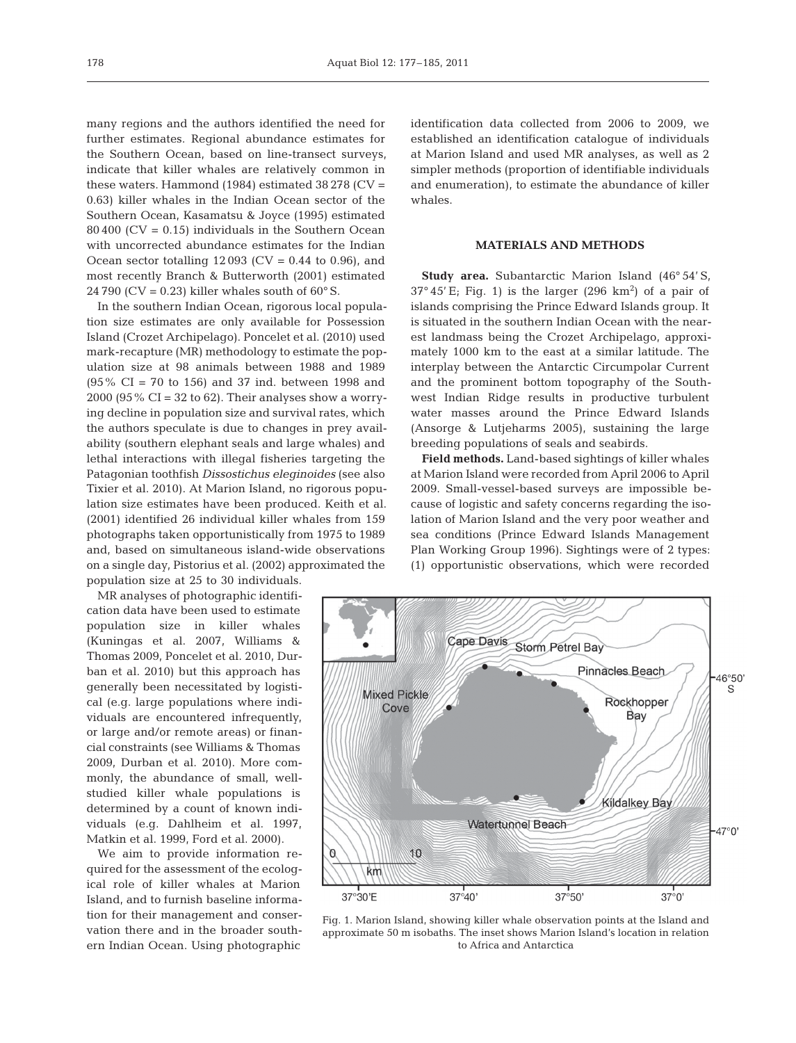many regions and the authors identified the need for further estimates. Regional abundance estimates for the Southern Ocean, based on line-transect surveys, indicate that killer whales are relatively common in these waters. Hammond  $(1984)$  estimated 38 278  $(CV =$ 0.63) killer whales in the Indian Ocean sector of the Southern Ocean, Kasamatsu & Joyce (1995) estimated  $80\,400$  (CV = 0.15) individuals in the Southern Ocean with uncorrected abundance estimates for the Indian Ocean sector totalling  $12\,093$  (CV = 0.44 to 0.96), and most recently Branch & Butterworth (2001) estimated 24 790 (CV = 0.23) killer whales south of  $60^{\circ}$  S.

In the southern Indian Ocean, rigorous local population size estimates are only available for Possession Island (Crozet Archipelago). Poncelet et al. (2010) used mark-recapture (MR) methodology to estimate the population size at 98 animals between 1988 and 1989 (95% CI = 70 to 156) and 37 ind. between 1998 and 2000 (95% CI = 32 to 62). Their analyses show a worrying decline in population size and survival rates, which the authors speculate is due to changes in prey availability (southern elephant seals and large whales) and lethal interactions with illegal fisheries targeting the Patagonian toothfish *Dissostichus eleginoides* (see also Tixier et al. 2010). At Marion Island, no rigorous population size estimates have been produced. Keith et al. (2001) identified 26 individual killer whales from 159 photo graphs taken opportunistically from 1975 to 1989 and, based on simultaneous island-wide observations on a single day, Pistorius et al. (2002) approximated the population size at 25 to 30 individuals.

MR analyses of photographic identification data have been used to estimate population size in killer whales (Kuningas et al. 2007, Williams & Thomas 2009, Poncelet et al. 2010, Durban et al. 2010) but this approach has generally been necessitated by logistical (e.g. large populations where individuals are encountered infrequently, or large and/or remote areas) or financial constraints (see Williams & Thomas 2009, Durban et al. 2010). More commonly, the abundance of small, wellstudied killer whale populations is determined by a count of known individuals (e.g. Dahlheim et al. 1997, Matkin et al. 1999, Ford et al. 2000).

We aim to provide information required for the assessment of the ecological role of killer whales at Marion Island, and to furnish baseline information for their management and conservation there and in the broader southern Indian Ocean. Using photographic

identification data collected from 2006 to 2009, we established an identification catalogue of individuals at Marion Island and used MR analyses, as well as 2 simpler methods (proportion of identifiable individuals and enumeration), to estimate the abundance of killer whales.

# **MATERIALS AND METHODS**

**Study area.** Subantarctic Marion Island (46° 54' S,  $37^{\circ}45'$  E; Fig. 1) is the larger (296 km<sup>2</sup>) of a pair of islands comprising the Prince Edward Islands group. It is situated in the southern Indian Ocean with the nearest landmass being the Crozet Archipelago, approximately 1000 km to the east at a similar latitude. The interplay between the Antarctic Circumpolar Current and the prominent bottom topography of the Southwest Indian Ridge results in productive turbulent water masses around the Prince Edward Islands (Ansorge & Lutjeharms 2005), sustaining the large breeding populations of seals and seabirds.

**Field methods.** Land-based sightings of killer whales at Marion Island were recorded from April 2006 to April 2009. Small-vessel-based surveys are impossible because of logistic and safety concerns regarding the isolation of Marion Island and the very poor weather and sea conditions (Prince Edward Islands Management Plan Working Group 1996). Sightings were of 2 types: (1) opportunistic observations, which were recorded



Fig. 1. Marion Island, showing killer whale observation points at the Island and approximate 50 m isobaths. The inset shows Marion Island's location in relation to Africa and Antarctica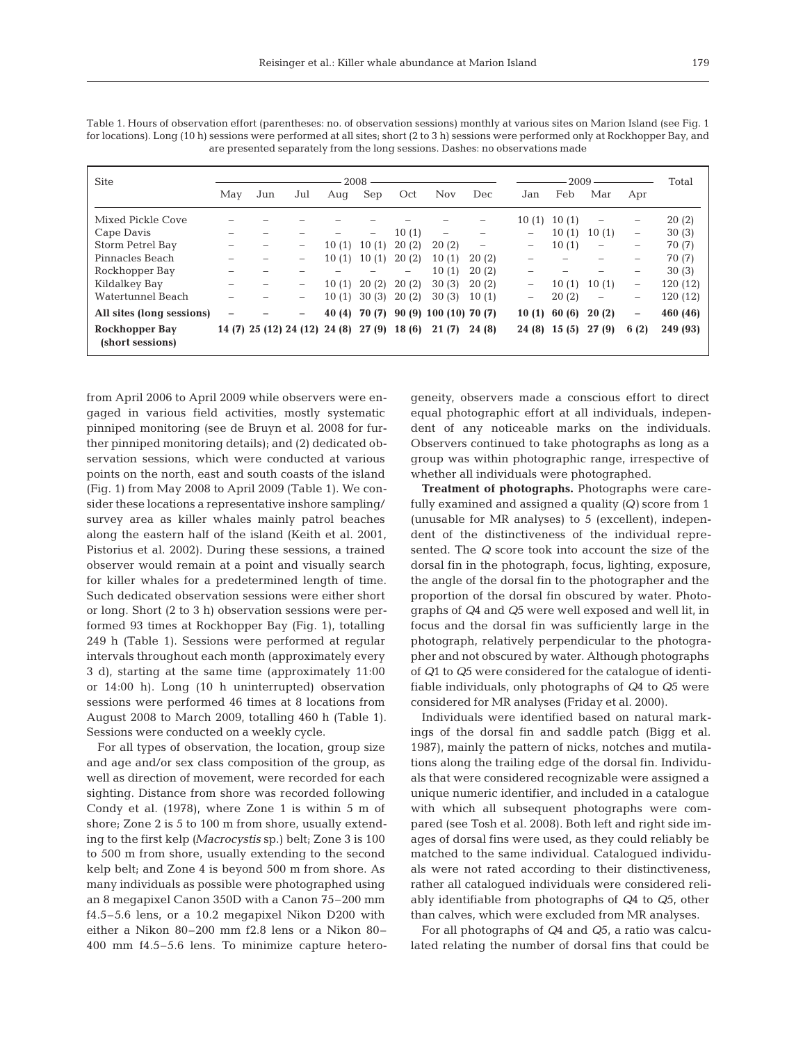| <b>Site</b>                               | 2008                     |                               |                          |       |                   |       | 2009                          |       |                          | Total |                   |                   |          |
|-------------------------------------------|--------------------------|-------------------------------|--------------------------|-------|-------------------|-------|-------------------------------|-------|--------------------------|-------|-------------------|-------------------|----------|
|                                           | May                      | Jun                           | Jul                      | Aug   | Sep               | Oct   | <b>Nov</b>                    | Dec   | Jan                      | Feb   | Mar               | Apr               |          |
| Mixed Pickle Cove                         |                          |                               |                          |       |                   |       |                               |       | 10(1)                    | 10(1) | $\qquad \qquad -$ | -                 | 20(2)    |
| Cape Davis                                | -                        |                               |                          |       | $\qquad \qquad -$ | 10(1) | $\overline{\phantom{m}}$      |       | -                        | 10(1) | 10(1)             | $\qquad \qquad -$ | 30(3)    |
| Storm Petrel Bay                          | -                        |                               | -                        | 10(1) | 10(1)             | 20(2) | 20(2)                         | -     | -                        | 10(1) | -                 | -                 | 70 (7)   |
| Pinnacles Beach                           | -                        |                               | -                        | 10(1) | 10(1)             | 20(2) | 10(1)                         | 20(2) | $\overline{\phantom{0}}$ |       |                   | -                 | 70 (7)   |
| Rockhopper Bay                            |                          |                               |                          | -     |                   | -     | 10(1)                         | 20(2) |                          |       |                   | -                 | 30(3)    |
| Kildalkey Bay                             | $\overline{\phantom{a}}$ |                               | -                        | 10(1) | 20(2)             | 20(2) | 30(3)                         | 20(2) | $\qquad \qquad -$        | 10(1) | 10(1)             | $\qquad \qquad -$ | 120 (12) |
| Watertunnel Beach                         |                          |                               | $\overline{\phantom{0}}$ | 10(1) | 30(3)             | 20(2) | 30(3)                         | 10(1) | -                        | 20(2) | -                 | -                 | 120 (12) |
| All sites (long sessions)                 | -                        |                               | -                        | 40(4) |                   |       | 70 (7) 90 (9) 100 (10) 70 (7) |       | 10(1)                    | 60(6) | 20(2)             | -                 | 460 (46) |
| <b>Rockhopper Bay</b><br>(short sessions) |                          | 14 (7) 25 (12) 24 (12) 24 (8) |                          |       | 27(9)             | 18(6) | 21(7)                         | 24(8) | 24 (8)                   | 15(5) | 27(9)             | 6(2)              | 249 (93) |

Table 1. Hours of observation effort (parentheses: no. of observation sessions) monthly at various sites on Marion Island (see Fig. 1 for locations). Long (10 h) sessions were performed at all sites; short (2 to 3 h) sessions were performed only at Rockhopper Bay, and are presented separately from the long sessions. Dashes: no observations made

from April 2006 to April 2009 while observers were engaged in various field activities, mostly systematic pinniped monitoring (see de Bruyn et al. 2008 for further pinniped monitoring details); and (2) dedicated observation sessions, which were conducted at various points on the north, east and south coasts of the island (Fig. 1) from May 2008 to April 2009 (Table 1). We consider these locations a representative inshore sampling/ survey area as killer whales mainly patrol beaches along the eastern half of the island (Keith et al. 2001, Pistorius et al. 2002). During these sessions, a trained observer would remain at a point and visually search for killer whales for a predetermined length of time. Such dedicated observation sessions were either short or long. Short (2 to 3 h) observation sessions were performed 93 times at Rockhopper Bay (Fig. 1), totalling 249 h (Table 1). Sessions were performed at regular intervals throughout each month (approximately every 3 d), starting at the same time (approximately 11:00 or 14:00 h). Long (10 h uninterrupted) observation sessions were performed 46 times at 8 locations from August 2008 to March 2009, totalling 460 h (Table 1). Sessions were conducted on a weekly cycle.

For all types of observation, the location, group size and age and/or sex class composition of the group, as well as direction of movement, were recorded for each sighting. Distance from shore was recorded following Condy et al. (1978), where Zone 1 is within 5 m of shore; Zone 2 is 5 to 100 m from shore, usually extending to the first kelp *(Macrocystis* sp.) belt; Zone 3 is 100 to 500 m from shore, usually extending to the second kelp belt; and Zone 4 is beyond 500 m from shore. As many individuals as possible were photographed using an 8 megapixel Canon 350D with a Canon 75-200 mm f4.5–5.6 lens, or a 10.2 megapixel Nikon D200 with either a Nikon 80–200 mm f2.8 lens or a Nikon 80– 400 mm f4.5–5.6 lens. To minimize capture heterogeneity, ob servers made a conscious effort to direct equal photographic effort at all individuals, independent of any noticeable marks on the individuals. Observers continued to take photographs as long as a group was within photographic range, irrespective of whether all individuals were photographed.

**Treatment of photographs.** Photographs were carefully examined and assigned a quality *(Q)* score from 1 (unusable for MR analyses) to 5 (excellent), independent of the distinctiveness of the individual represented. The *Q* score took into account the size of the dorsal fin in the photograph, focus, lighting, exposure, the angle of the dorsal fin to the photographer and the proportion of the dorsal fin obscured by water. Photographs of *Q*4 and *Q*5 were well exposed and well lit, in focus and the dorsal fin was sufficiently large in the photograph, relatively perpendicular to the photographer and not obscured by water. Although photographs of *Q*1 to *Q*5 were considered for the catalogue of identifiable individuals, only photographs of *Q*4 to *Q*5 were considered for MR analyses (Friday et al. 2000).

Individuals were identified based on natural markings of the dorsal fin and saddle patch (Bigg et al. 1987), mainly the pattern of nicks, notches and mutilations along the trailing edge of the dorsal fin. Individuals that were considered recognizable were assigned a unique numeric identifier, and included in a catalogue with which all subsequent photographs were compared (see Tosh et al. 2008). Both left and right side images of dorsal fins were used, as they could reliably be matched to the same individual. Catalogued individuals were not rated according to their distinctiveness, rather all catalogued individuals were considered reliably identifiable from photographs of *Q*4 to *Q*5, other than calves, which were excluded from MR analyses.

For all photographs of *Q*4 and *Q*5, a ratio was calculated relating the number of dorsal fins that could be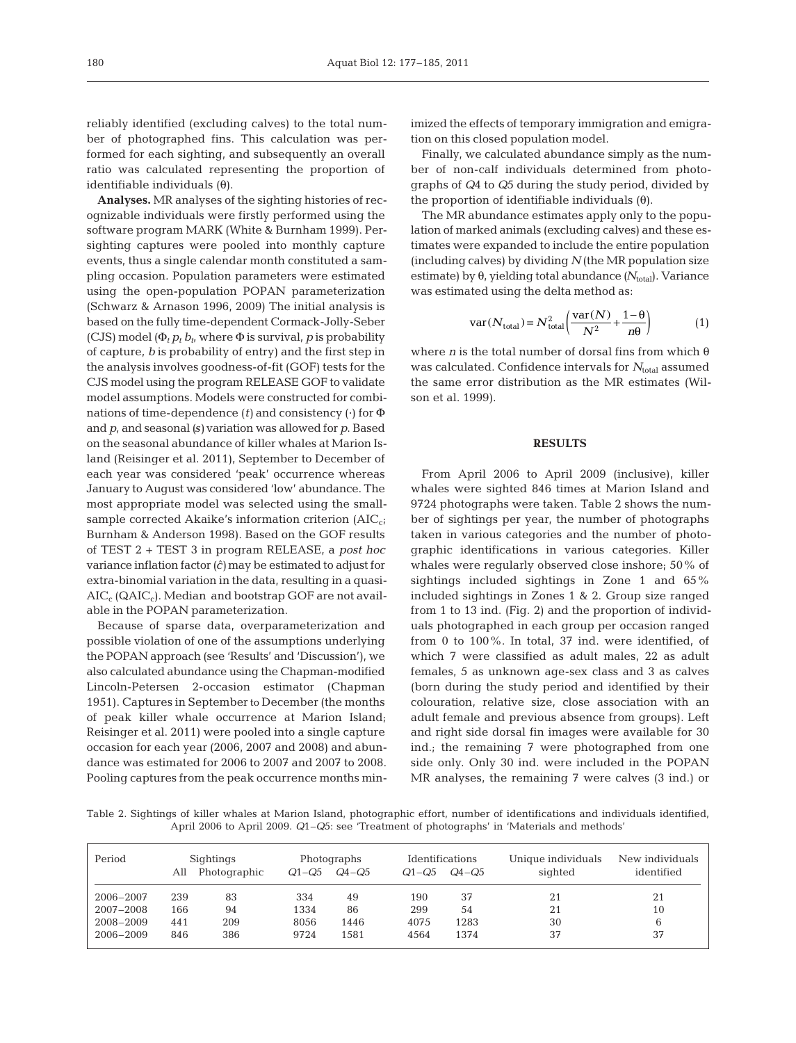reliably identified (excluding calves) to the total number of photographed fins. This calculation was performed for each sighting, and subsequently an overall ratio was calculated representing the proportion of identifiable individuals (θ).

**Analyses.** MR analyses of the sighting histories of recognizable individuals were firstly performed using the software program MARK (White & Burnham 1999). Persighting captures were pooled into monthly capture events, thus a single calendar month constituted a sampling occasion. Population parameters were estimated using the open-population POPAN parameterization (Schwarz & Arnason 1996, 2009) The initial analysis is based on the fully time-dependent Cormack-Jolly-Seber (CJS) model  $(\Phi_t p_t b_t$ , where  $\Phi$  is survival, p is probability of capture, *b* is probability of entry) and the first step in the analysis involves goodness-of-fit (GOF) tests for the CJS model using the program RELEASE GOF to validate model assumptions. Models were constructed for combinations of time-dependence (*t)* and consistency (·) for Φ and *p*, and seasonal *(s)* variation was allowed for *p*. Based on the seasonal abundance of killer whales at Marion Island (Reisinger et al. 2011), September to December of each year was considered 'peak' occurrence whereas January to August was considered 'low' abundance. The most appropriate model was selected using the smallsample corrected Akaike's information criterion  $(AIC_{ci})$ Burnham & Anderson 1998). Based on the GOF results of TEST 2 + TEST 3 in program RELEASE, a *post hoc* variance inflation factor  $(\hat{c})$  may be estimated to adjust for extra-binomial variation in the data, resulting in a quasi- $AIC_c(QAIC_c)$ . Median and bootstrap GOF are not available in the POPAN parameterization.

Because of sparse data, overparameterization and possible violation of one of the assumptions underlying the POPAN approach (see 'Results' and 'Discussion'), we also calculated abundance using the Chapman-modified Lincoln-Petersen 2-occasion estimator (Chapman 1951). Captures in September to December (the months of peak killer whale occurrence at Marion Island; Reisinger et al. 2011) were pooled into a single capture occasion for each year (2006, 2007 and 2008) and abundance was estimated for 2006 to 2007 and 2007 to 2008. Pooling captures from the peak occurrence months minimized the effects of temporary immigration and emigration on this closed population model.

Finally, we calculated abundance simply as the number of non-calf individuals determined from photographs of *Q*4 to *Q*5 during the study period, divided by the proportion of identifiable individuals  $(θ)$ .

The MR abundance estimates apply only to the population of marked animals (excluding calves) and these estimates were expanded to include the entire population (including calves) by dividing *N* (the MR population size estimate) by θ, yielding total abundance (N<sub>total</sub>). Variance was estimated using the delta method as:

$$
var(N_{total}) = N_{total}^2 \left( \frac{var(N)}{N^2} + \frac{1-\theta}{n\theta} \right)
$$
 (1)

where *n* is the total number of dorsal fins from which θ was calculated. Confidence intervals for *N*<sub>total</sub> assumed the same error distribution as the MR estimates (Wilson et al. 1999).

# **RESULTS**

From April 2006 to April 2009 (inclusive), killer whales were sighted 846 times at Marion Island and 9724 photographs were taken. Table 2 shows the number of sightings per year, the number of photographs taken in various categories and the number of photographic identifications in various categories. Killer whales were regularly observed close inshore; 50% of sightings included sightings in Zone 1 and 65% included sightings in Zones 1 & 2. Group size ranged from 1 to 13 ind. (Fig. 2) and the proportion of individuals photographed in each group per occasion ranged from 0 to 100%. In total, 37 ind. were identified, of which 7 were classified as adult males, 22 as adult females, 5 as unknown age-sex class and 3 as calves (born during the study period and identified by their colouration, relative size, close association with an adult female and previous absence from groups). Left and right side dorsal fin images were available for 30 ind.; the remaining 7 were photographed from one side only. Only 30 ind. were included in the POPAN MR analyses, the remaining 7 were calves (3 ind.) or

Table 2. Sightings of killer whales at Marion Island, photographic effort, number of identifications and individuals identified, April 2006 to April 2009. *Q*1–*Q*5: see 'Treatment of photographs' in 'Materials and methods'

| Period    | All | Sightings<br>Photographic | $Q1 - Q5$ | Photographs<br>$Q_4 - Q_5$ | <b>Identifications</b><br>$Q1-Q5$ | $Q4 - Q5$ | Unique individuals<br>sighted | New individuals<br>identified |
|-----------|-----|---------------------------|-----------|----------------------------|-----------------------------------|-----------|-------------------------------|-------------------------------|
| 2006-2007 | 239 | 83                        | 334       | 49                         | 190                               | 37        | 21                            |                               |
| 2007-2008 | 166 | 94                        | 1334      | 86                         | 299                               | 54        | 21                            | 10                            |
| 2008-2009 | 441 | 209                       | 8056      | 1446                       | 4075                              | 1283      | 30                            |                               |
| 2006-2009 | 846 | 386                       | 9724      | 1581                       | 4564                              | 1374      | 37                            | 37                            |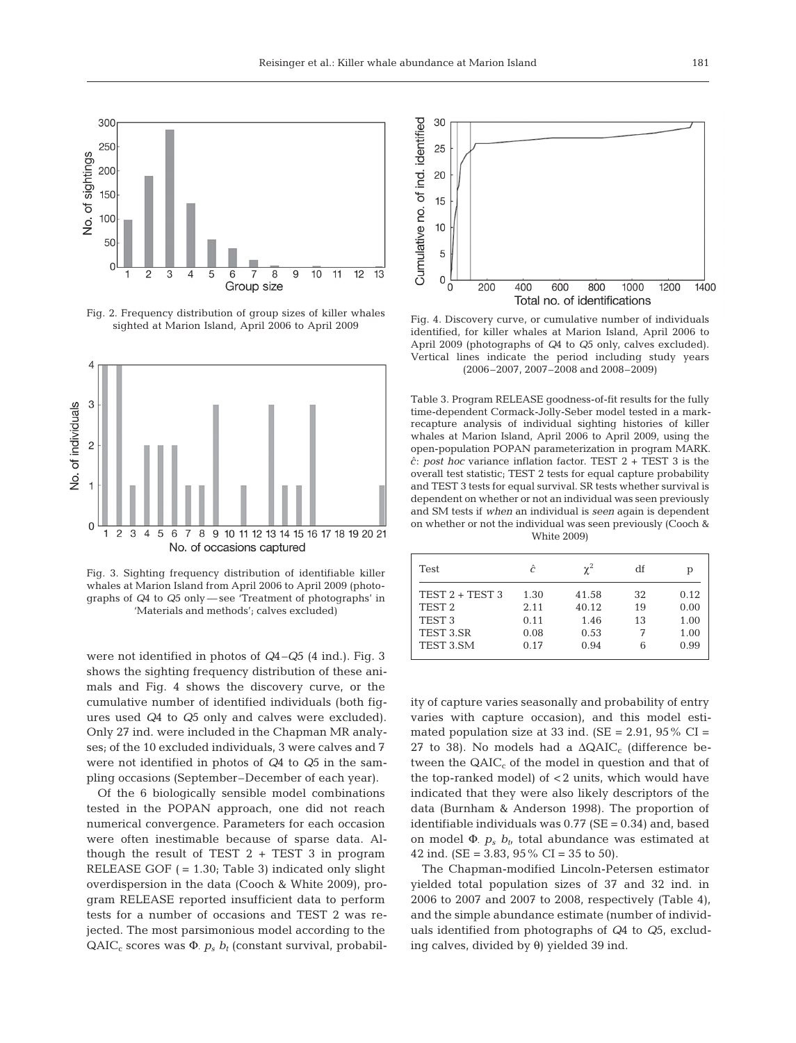

Fig. 2. Frequency distribution of group sizes of killer whales sighted at Marion Island, April 2006 to April 2009



Fig. 3. Sighting frequency distribution of identifiable killer whales at Marion Island from April 2006 to April 2009 (photographs of *Q*4 to *Q*5 only — see 'Treatment of photographs' in 'Materials and methods'; calves excluded)

were not identified in photos of *Q*4–*Q*5 (4 ind.). Fig. 3 shows the sighting frequency distribution of these animals and Fig. 4 shows the discovery curve, or the cumulative number of identified individuals (both figures used *Q*4 to *Q*5 only and calves were excluded). Only 27 ind. were included in the Chapman MR analyses; of the 10 excluded individuals, 3 were calves and 7 were not identified in photos of *Q*4 to *Q*5 in the sampling occasions (September– December of each year).

Of the 6 biologically sensible model combinations tested in the POPAN approach, one did not reach numerical convergence. Parameters for each occasion were often inestimable because of sparse data. Although the result of TEST  $2 + TEST$  3 in program RELEASE GOF *(* = 1.30; Table 3) indicated only slight overdispersion in the data (Cooch & White 2009), program RELEASE reported insufficient data to perform tests for a number of occasions and TEST 2 was re jected. The most parsimonious model according to the  $QAIC_c$  scores was  $\Phi$ ,  $p_s$   $b_t$  (constant survival, probabil-



Fig. 4. Discovery curve, or cumulative number of individuals identified, for killer whales at Marion Island, April 2006 to April 2009 (photographs of *Q*4 to *Q*5 only, calves excluded). Vertical lines indicate the period including study years (2006–2007, 2007–2008 and 2008–2009)

Table 3. Program RELEASE goodness-of-fit results for the fully time-dependent Cormack-Jolly-Seber model tested in a markrecapture analysis of individual sighting histories of killer whales at Marion Island, April 2006 to April 2009, using the open-population POPAN parameterization in program MARK. *c*ˆ: *post hoc* variance inflation factor. TEST 2 + TEST 3 is the overall test statistic; TEST 2 tests for equal capture probability and TEST 3 tests for equal survival. SR tests whether survival is dependent on whether or not an individual was seen previously and SM tests if *when* an individual is *seen* again is dependent on whether or not the individual was seen previously (Cooch & White 2009)

| <b>Test</b>       | ĉ    | $\chi^2$ | df | р    |
|-------------------|------|----------|----|------|
| TEST $2 + TEST$ 3 | 1.30 | 41.58    | 32 | 0.12 |
| TEST <sub>2</sub> | 2.11 | 40.12    | 19 | 0.00 |
| TEST <sub>3</sub> | 0.11 | 1.46     | 13 | 1.00 |
| TEST 3.SR         | 0.08 | 0.53     | 7  | 1.00 |
| TEST 3.SM         | 0.17 | 0.94     | 6  | 0.99 |
|                   |      |          |    |      |

ity of capture varies seasonally and probability of entry varies with capture occasion), and this model estimated population size at 33 ind. ( $SE = 2.91$ ,  $95\%$  CI = 27 to 38). No models had a  $\triangle QAIC_c$  (difference between the  $QAIC_c$  of the model in question and that of the top-ranked model) of < 2 units, which would have indicated that they were also likely descriptors of the data (Burnham & Anderson 1998). The proportion of identifiable individuals was  $0.77$  (SE =  $0.34$ ) and, based on model  $\Phi$ .  $p_s$   $b_t$ , total abundance was estimated at 42 ind. (SE = 3.83, 95% CI = 35 to 50).

The Chapman-modified Lincoln-Petersen estimator yielded total population sizes of 37 and 32 ind. in 2006 to 2007 and 2007 to 2008, respectively (Table 4), and the simple abundance estimate (number of individuals identified from photographs of *Q*4 to *Q*5, excluding calves, divided by θ) yielded 39 ind.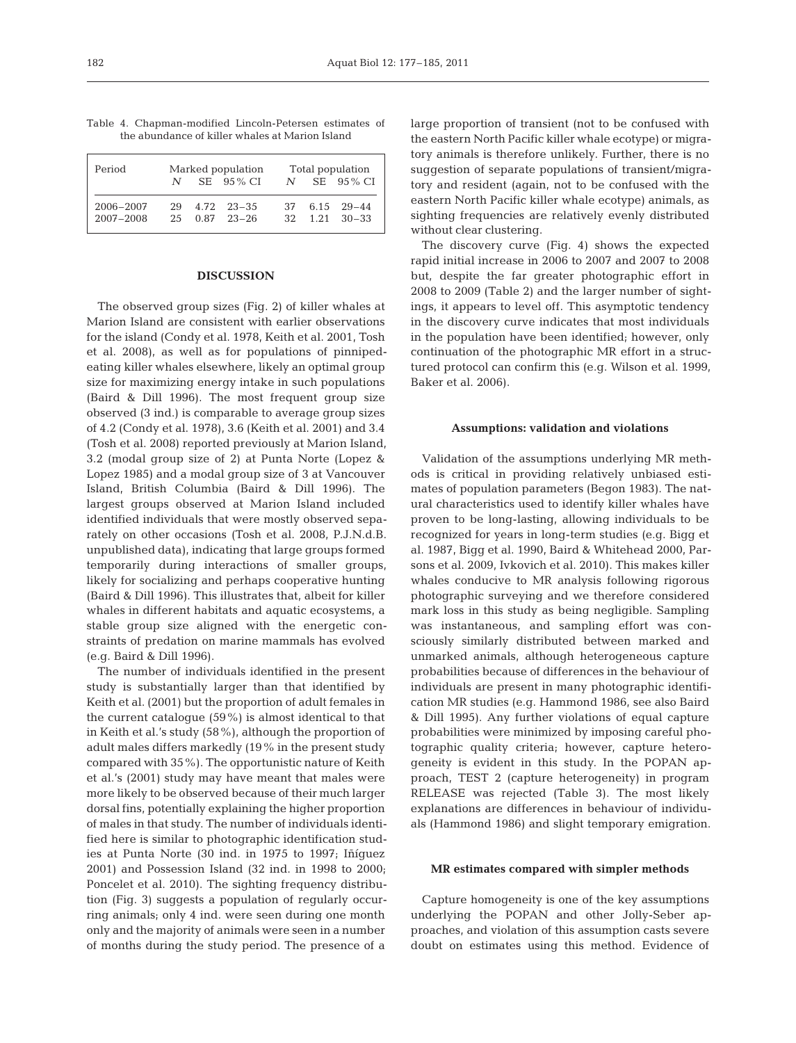| Period                 | $\mathcal{N}$ | Marked population<br>$SE = 95\% CI$  | $\mathcal N$ | Total population<br>$SE = 95\% CI$ |                                              |  |  |
|------------------------|---------------|--------------------------------------|--------------|------------------------------------|----------------------------------------------|--|--|
| 2006-2007<br>2007-2008 | 29<br>25      | $4.72 \quad 23-35$<br>$0.87$ $23-26$ | 37.<br>32.   |                                    | $6.15 \quad 29 - 44$<br>$1.21 \quad 30 - 33$ |  |  |

Table 4. Chapman-modified Lincoln-Petersen estimates of the abundance of killer whales at Marion Island

## **DISCUSSION**

The observed group sizes (Fig. 2) of killer whales at Marion Island are consistent with earlier observations for the island (Condy et al. 1978, Keith et al. 2001, Tosh et al. 2008), as well as for populations of pinnipedeating killer whales elsewhere, likely an optimal group size for maximizing energy intake in such populations (Baird & Dill 1996). The most frequent group size observed (3 ind.) is comparable to average group sizes of 4.2 (Condy et al. 1978), 3.6 (Keith et al. 2001) and 3.4 (Tosh et al. 2008) reported previously at Marion Island, 3.2 (modal group size of 2) at Punta Norte (Lopez & Lopez 1985) and a modal group size of 3 at Vancouver Island, British Columbia (Baird & Dill 1996). The largest groups observed at Marion Island included identified individuals that were mostly observed separately on other occasions (Tosh et al. 2008, P.J.N.d.B. unpublished data), indicating that large groups formed temporarily during interactions of smaller groups, likely for socializing and perhaps cooperative hunting (Baird & Dill 1996). This illustrates that, albeit for killer whales in different habitats and aquatic ecosystems, a stable group size aligned with the energetic constraints of predation on marine mammals has evolved (e.g. Baird & Dill 1996).

The number of individuals identified in the present study is substantially larger than that identified by Keith et al. (2001) but the proportion of adult females in the current catalogue (59%) is almost identical to that in Keith et al.'s study (58%), although the proportion of adult males differs markedly (19% in the present study compared with 35%). The opportunistic nature of Keith et al.'s (2001) study may have meant that males were more likely to be observed because of their much larger dorsal fins, potentially explaining the higher proportion of males in that study. The number of individuals identified here is similar to photographic identification studies at Punta Norte (30 ind. in 1975 to 1997; Iñíguez 2001) and Possession Island (32 ind. in 1998 to 2000; Poncelet et al. 2010). The sighting frequency distribution (Fig. 3) suggests a population of regularly occurring animals; only 4 ind. were seen during one month only and the majority of animals were seen in a number of months during the study period. The presence of a

large proportion of transient (not to be confused with the eastern North Pacific killer whale ecotype) or migratory animals is therefore unlikely. Further, there is no suggestion of separate populations of transient/migratory and resident (again, not to be confused with the eastern North Pacific killer whale ecotype) animals, as sighting frequencies are relatively evenly distributed without clear clustering.

The discovery curve (Fig. 4) shows the expected rapid initial increase in 2006 to 2007 and 2007 to 2008 but, despite the far greater photographic effort in 2008 to 2009 (Table 2) and the larger number of sightings, it appears to level off. This asymptotic tendency in the discovery curve indicates that most individuals in the population have been identified; however, only continuation of the photographic MR effort in a structured protocol can confirm this (e.g. Wilson et al. 1999, Baker et al. 2006).

#### **Assumptions: validation and violations**

Validation of the assumptions underlying MR methods is critical in providing relatively unbiased estimates of population parameters (Begon 1983). The natural characteristics used to identify killer whales have proven to be long-lasting, allowing individuals to be recognized for years in long-term studies (e.g. Bigg et al. 1987, Bigg et al. 1990, Baird & Whitehead 2000, Parsons et al. 2009, Ivkovich et al. 2010). This makes killer whales conducive to MR analysis following rigorous photographic surveying and we therefore considered mark loss in this study as being negligible. Sampling was instantaneous, and sampling effort was consciously similarly distributed between marked and unmarked animals, although heterogeneous capture probabilities because of differences in the behaviour of individuals are present in many photographic identification MR studies (e.g. Hammond 1986, see also Baird & Dill 1995). Any further violations of equal capture probabilities were minimized by imposing careful photographic quality criteria; however, capture heterogeneity is evident in this study. In the POPAN approach, TEST 2 (capture heterogeneity) in program RELEASE was rejected (Table 3). The most likely explanations are differences in behaviour of individuals (Hammond 1986) and slight temporary emigration.

## **MR estimates compared with simpler methods**

Capture homogeneity is one of the key assumptions underlying the POPAN and other Jolly-Seber approaches, and violation of this assumption casts severe doubt on estimates using this method. Evidence of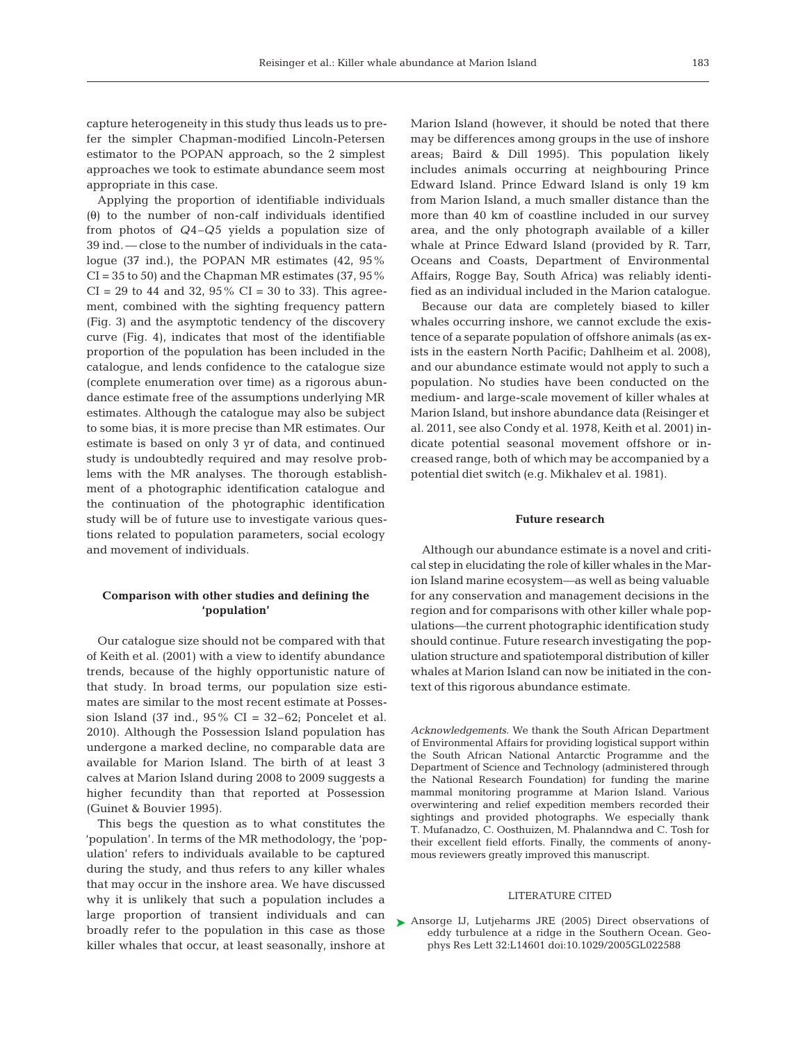capture heterogeneity in this study thus leads us to prefer the simpler Chapman-modified Lincoln-Petersen estimator to the POPAN approach, so the 2 simplest approaches we took to estimate abundance seem most appropriate in this case.

Applying the proportion of identifiable individuals (θ) to the number of non-calf individuals identified from photos of *Q*4–*Q*5 yields a population size of 39 ind. — close to the number of individuals in the cata logue (37 ind.), the POPAN MR estimates (42, 95%  $CI = 35$  to 50) and the Chapman MR estimates (37, 95%)  $CI = 29$  to 44 and 32, 95%  $CI = 30$  to 33). This agreement, combined with the sighting frequency pattern (Fig. 3) and the asymptotic tendency of the discovery curve (Fig. 4), indicates that most of the identifiable proportion of the population has been included in the catalogue, and lends confidence to the catalogue size (complete enumeration over time) as a rigorous abundance estimate free of the assumptions underlying MR estimates. Although the catalogue may also be subject to some bias, it is more precise than MR estimates. Our estimate is based on only 3 yr of data, and continued study is undoubtedly required and may resolve problems with the MR analyses. The thorough establishment of a photographic identification catalogue and the continuation of the photographic identification study will be of future use to investigate various questions related to population parameters, social ecology and movement of individuals.

# **Comparison with other studies and defining the 'population'**

Our catalogue size should not be compared with that of Keith et al. (2001) with a view to identify abundance trends, because of the highly opportunistic nature of that study. In broad terms, our population size estimates are similar to the most recent estimate at Possession Island (37 ind.,  $95\%$  CI = 32–62; Poncelet et al. 2010). Although the Possession Island population has undergone a marked decline, no comparable data are available for Marion Island. The birth of at least 3 calves at Marion Island during 2008 to 2009 suggests a higher fecundity than that reported at Possession (Guinet & Bouvier 1995).

This begs the question as to what constitutes the 'population'. In terms of the MR methodology, the 'population' refers to individuals available to be captured during the study, and thus refers to any killer whales that may occur in the inshore area. We have discussed why it is unlikely that such a population includes a large proportion of transient individuals and can broadly refer to the population in this case as those killer whales that occur, at least seasonally, inshore at

Marion Island (however, it should be noted that there may be differences among groups in the use of inshore areas; Baird & Dill 1995). This population likely includes animals occurring at neighbouring Prince Edward Island. Prince Edward Island is only 19 km from Marion Island, a much smaller distance than the more than 40 km of coastline included in our survey area, and the only photograph available of a killer whale at Prince Edward Island (provided by R. Tarr, Oceans and Coasts, Department of Environmental Affairs, Rogge Bay, South Africa) was reliably identified as an individual included in the Marion catalogue.

Because our data are completely biased to killer whales occurring inshore, we cannot exclude the existence of a separate population of offshore animals (as exists in the eastern North Pacific; Dahlheim et al. 2008), and our abundance estimate would not apply to such a population. No studies have been conducted on the medium- and large-scale movement of killer whales at Marion Island, but inshore abundance data (Reisinger et al. 2011, see also Condy et al. 1978, Keith et al. 2001) indicate potential seasonal movement offshore or increased range, both of which may be accompanied by a potential diet switch (e.g. Mikhalev et al. 1981).

## **Future research**

Although our abundance estimate is a novel and critical step in elucidating the role of killer whales in the Marion Island marine ecosystem—as well as being valuable for any conservation and management decisions in the region and for comparisons with other killer whale populations—the current photographic identification study should continue. Future research investigating the population structure and spatiotemporal distribution of killer whales at Marion Island can now be initiated in the context of this rigorous abundance estimate.

*Acknowledgements*. We thank the South African Department of Environmental Affairs for providing logistical support within the South African National Antarctic Programme and the Department of Science and Technology (administered through the National Research Foundation) for funding the marine mammal monitoring programme at Marion Island. Various overwintering and relief expedition members recorded their sightings and provided photographs. We especially thank T. Mufanadzo, C. Oosthuizen, M. Phalanndwa and C. Tosh for their excellent field efforts. Finally, the comments of anonymous reviewers greatly improved this manuscript.

### LITERATURE CITED

▶ Ansorge IJ, Lutjeharms JRE (2005) Direct observations of eddy turbulence at a ridge in the Southern Ocean. Geophys Res Lett 32:L14601 doi:10.1029/2005GL022588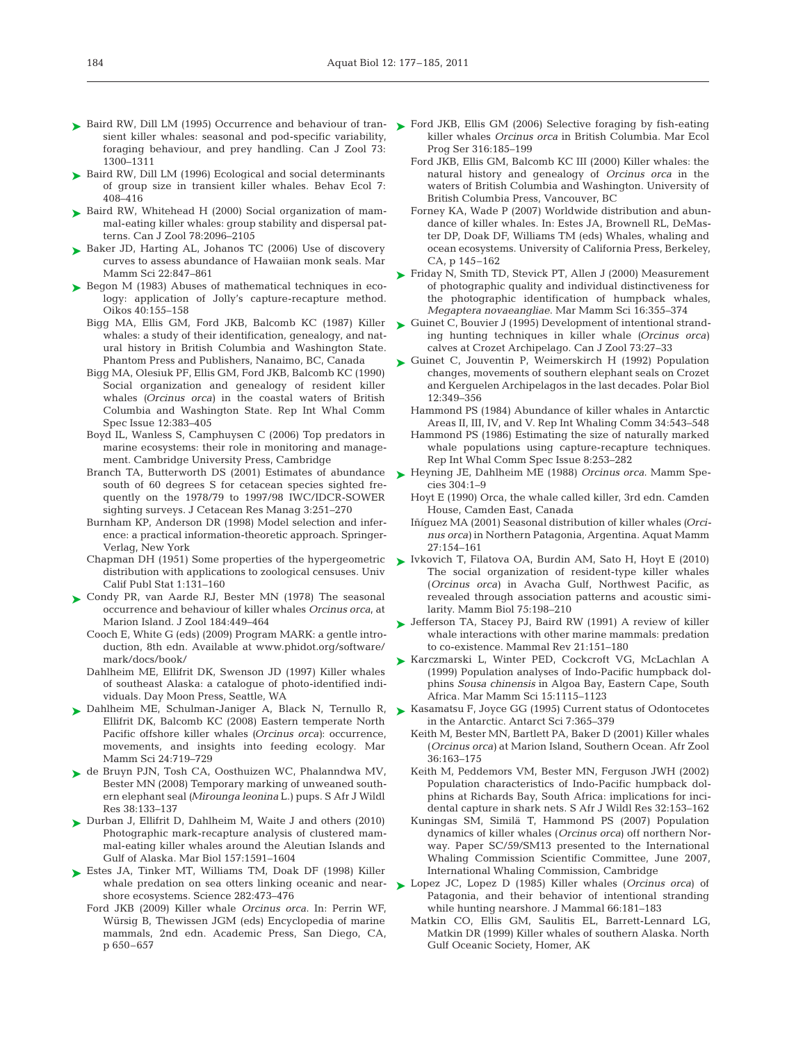- ► Baird RW, Dill LM (1995) Occurrence and behaviour of tran- ► Ford JKB, Ellis GM (2006) Selective foraging by fish-eating sient killer whales: seasonal and pod-specific variability, foraging behaviour, and prey handling. Can J Zool 73: 1300–1311
- ► Baird RW, Dill LM (1996) Ecological and social determinants of group size in transient killer whales. Behav Ecol 7: 408–416
- ► Baird RW, Whitehead H (2000) Social organization of mammal-eating killer whales: group stability and dispersal patterns. Can J Zool 78:2096–2105
- ► Baker JD, Harting AL, Johanos TC (2006) Use of discovery curves to assess abundance of Hawaiian monk seals. Mar Mamm Sci 22:847–861
- ► Begon M (1983) Abuses of mathematical techniques in ecology: application of Jolly's capture-recapture method. Oikos 40:155–158
	- Bigg MA, Ellis GM, Ford JKB, Balcomb KC (1987) Killer whales: a study of their identification, genealogy, and natural history in British Columbia and Washington State. Phantom Press and Publishers, Nanaimo, BC, Canada
	- Bigg MA, Olesiuk PF, Ellis GM, Ford JKB, Balcomb KC (1990) Social organization and genealogy of resident killer whales *(Orcinus orca)* in the coastal waters of British Columbia and Washington State. Rep Int Whal Comm Spec Issue 12:383–405
	- Boyd IL, Wanless S, Camphuysen C (2006) Top predators in marine ecosystems: their role in monitoring and management. Cambridge University Press, Cambridge
	- Branch TA, Butterworth DS (2001) Estimates of abundance south of 60 degrees S for cetacean species sighted frequently on the 1978/79 to 1997/98 IWC/IDCR-SOWER sighting surveys. J Cetacean Res Manag 3:251–270
	- Burnham KP, Anderson DR (1998) Model selection and inference: a practical information-theoretic approach. Springer-Verlag, New York
	- distribution with applications to zoological censuses. Univ Calif Publ Stat 1:131–160
- ► Condy PR, van Aarde RJ, Bester MN (1978) The seasonal occurrence and behaviour of killer whales *Orcinus orca*, at Marion Island. J Zool 184:449–464
	- Cooch E, White G (eds) (2009) Program MARK: a gentle introduction, 8th edn. Available at www.phidot.org/software/ mark/docs/book/
	- Dahlheim ME, Ellifrit DK, Swenson JD (1997) Killer whales of southeast Alaska: a catalogue of photo-identified individuals. Day Moon Press, Seattle, WA
- ▶ Dahlheim ME, Schulman-Janiger A, Black N, Ternullo R, Ellifrit DK, Balcomb KC (2008) Eastern temperate North Pacific offshore killer whales *(Orcinus orca)*: occurrence, movements, and insights into feeding ecology. Mar Mamm Sci 24:719–729
- ► de Bruyn PJN, Tosh CA, Oosthuizen WC, Phalanndwa MV, Bester MN (2008) Temporary marking of unweaned southern elephant seal *(Mirounga leonina* L.) pups. S Afr J Wildl Res 38:133–137
- ▶ Durban J, Ellifrit D, Dahlheim M, Waite J and others (2010) Photographic mark-recapture analysis of clustered mammal-eating killer whales around the Aleutian Islands and Gulf of Alaska. Mar Biol 157:1591–1604
- ► Estes JA, Tinker MT, Williams TM, Doak DF (1998) Killer shore ecosystems. Science 282:473–476
	- Ford JKB (2009) Killer whale *Orcinus orca*. In: Perrin WF, Würsig B, Thewissen JGM (eds) Encyclopedia of marine mammals, 2nd edn. Academic Press, San Diego, CA, p 650–657
- killer whales *Orcinus orca* in British Columbia. Mar Ecol Prog Ser 316:185–199
- Ford JKB, Ellis GM, Balcomb KC III (2000) Killer whales: the natural history and genealogy of *Orcinus orca* in the waters of British Columbia and Washington. University of British Columbia Press, Vancouver, BC
- Forney KA, Wade P (2007) Worldwide distribution and abundance of killer whales. In: Estes JA, Brownell RL, DeMaster DP, Doak DF, Williams TM (eds) Whales, whaling and ocean ecosystems. University of California Press, Berkeley, CA, p 145–162
- ► Friday N, Smith TD, Stevick PT, Allen J (2000) Measurement of photographic quality and individual distinctiveness for the photographic identification of humpback whales, *Megaptera novaeangliae*. Mar Mamm Sci 16:355–374
- ► Guinet C, Bouvier J (1995) Development of intentional stranding hunting techniques in killer whale *(Orcinus orca)* calves at Crozet Archipelago. Can J Zool 73:27–33
- ► Guinet C, Jouventin P, Weimerskirch H (1992) Population changes, movements of southern elephant seals on Crozet and Kerguelen Archipelagos in the last decades. Polar Biol 12: 349–356
	- Hammond PS (1984) Abundance of killer whales in Antarctic Areas II, III, IV, and V. Rep Int Whaling Comm 34:543–548
	- Hammond PS (1986) Estimating the size of naturally marked whale populations using capture-recapture techniques. Rep Int Whal Comm Spec Issue 8:253–282
- ► Heyning JE, Dahlheim ME (1988) *Orcinus orca*. Mamm Species 304:1–9
	- Hoyt E (1990) Orca, the whale called killer, 3rd edn. Camden House, Camden East, Canada
	- Iñíguez MA (2001) Seasonal distribution of killer whales *(Orcinus orca)* in Northern Patagonia, Argentina. Aquat Mamm 27:154–161
- Chapman DH (1951) Some properties of the hypergeometric  $\triangleright$  Ivkovich T, Filatova OA, Burdin AM, Sato H, Hoyt E (2010) The social organization of resident-type killer whales (*Orcinus orca)* in Avacha Gulf, Northwest Pacific, as revealed through association patterns and acoustic similarity. Mamm Biol 75:198–210
	- ► Jefferson TA, Stacey PJ, Baird RW (1991) A review of killer whale interactions with other marine mammals: predation to co-existence. Mammal Rev 21:151–180
	- Karczmarski L, Winter PED, Cockcroft VG, McLachlan A ➤ (1999) Population analyses of Indo-Pacific humpback dolphins *Sousa chinensis* in Algoa Bay, Eastern Cape, South Africa. Mar Mamm Sci 15:1115–1123
	- ► Kasamatsu F, Joyce GG (1995) Current status of Odontocetes in the Antarctic. Antarct Sci 7:365–379
		- Keith M, Bester MN, Bartlett PA, Baker D (2001) Killer whales (*Orcinus orca)* at Marion Island, Southern Ocean. Afr Zool 36: 163–175
		- Keith M, Peddemors VM, Bester MN, Ferguson JWH (2002) Population characteristics of Indo-Pacific humpback dolphins at Richards Bay, South Africa: implications for incidental capture in shark nets. S Afr J Wildl Res 32:153–162
		- Kuningas SM, Similä T, Hammond PS (2007) Population dynamics of killer whales (*Orcinus orca*) off northern Norway. Paper SC/59/SM13 presented to the International Whaling Commission Scientific Committee, June 2007, International Whaling Commission, Cambridge
	- whale predation on sea otters linking oceanic and near- **L**opez JC, Lopez D (1985) Killer whales (*Orcinus orca*) of Patagonia, and their behavior of intentional stranding while hunting nearshore. J Mammal 66:181–183
		- Matkin CO, Ellis GM, Saulitis EL, Barrett-Lennard LG, Matkin DR (1999) Killer whales of southern Alaska. North Gulf Oceanic Society, Homer, AK